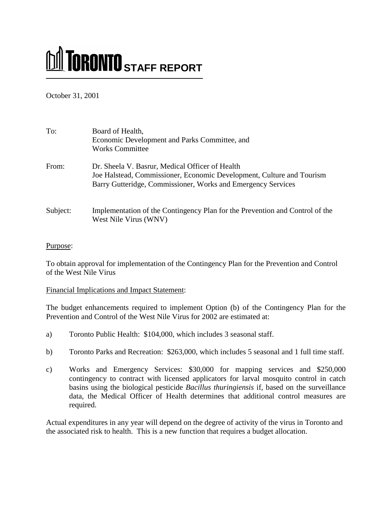# **M** TORONTO STAFF REPORT

# October 31, 2001

| To:      | Board of Health,<br>Economic Development and Parks Committee, and<br><b>Works Committee</b>                                                                                              |
|----------|------------------------------------------------------------------------------------------------------------------------------------------------------------------------------------------|
| From:    | Dr. Sheela V. Basrur, Medical Officer of Health<br>Joe Halstead, Commissioner, Economic Development, Culture and Tourism<br>Barry Gutteridge, Commissioner, Works and Emergency Services |
| Subject: | Implementation of the Contingency Plan for the Prevention and Control of the<br>West Nile Virus (WNV)                                                                                    |

## Purpose:

To obtain approval for implementation of the Contingency Plan for the Prevention and Control of the West Nile Virus

# Financial Implications and Impact Statement:

The budget enhancements required to implement Option (b) of the Contingency Plan for the Prevention and Control of the West Nile Virus for 2002 are estimated at:

- a) Toronto Public Health: \$104,000, which includes 3 seasonal staff.
- b) Toronto Parks and Recreation: \$263,000, which includes 5 seasonal and 1 full time staff.
- c) Works and Emergency Services: \$30,000 for mapping services and \$250,000 contingency to contract with licensed applicators for larval mosquito control in catch basins using the biological pesticide *Bacillus thuringiensis* if, based on the surveillance data, the Medical Officer of Health determines that additional control measures are required.

Actual expenditures in any year will depend on the degree of activity of the virus in Toronto and the associated risk to health. This is a new function that requires a budget allocation.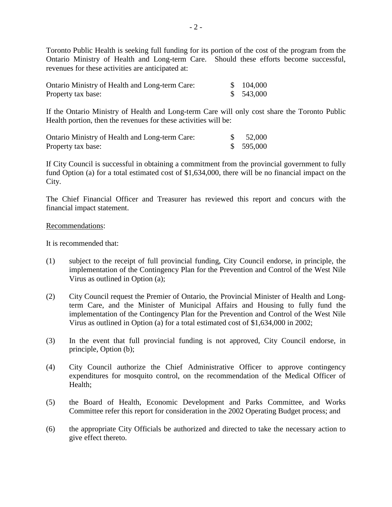Toronto Public Health is seeking full funding for its portion of the cost of the program from the Ontario Ministry of Health and Long-term Care. Should these efforts become successful, revenues for these activities are anticipated at:

| Ontario Ministry of Health and Long-term Care: | \$104,000 |
|------------------------------------------------|-----------|
| Property tax base:                             | \$543,000 |

If the Ontario Ministry of Health and Long-term Care will only cost share the Toronto Public Health portion, then the revenues for these activities will be:

| Ontario Ministry of Health and Long-term Care: | 52,000    |
|------------------------------------------------|-----------|
| Property tax base:                             | \$595,000 |

If City Council is successful in obtaining a commitment from the provincial government to fully fund Option (a) for a total estimated cost of \$1,634,000, there will be no financial impact on the City.

The Chief Financial Officer and Treasurer has reviewed this report and concurs with the financial impact statement.

### Recommendations:

It is recommended that:

- (1) subject to the receipt of full provincial funding, City Council endorse, in principle, the implementation of the Contingency Plan for the Prevention and Control of the West Nile Virus as outlined in Option (a);
- (2) City Council request the Premier of Ontario, the Provincial Minister of Health and Longterm Care, and the Minister of Municipal Affairs and Housing to fully fund the implementation of the Contingency Plan for the Prevention and Control of the West Nile Virus as outlined in Option (a) for a total estimated cost of \$1,634,000 in 2002;
- (3) In the event that full provincial funding is not approved, City Council endorse, in principle, Option (b);
- (4) City Council authorize the Chief Administrative Officer to approve contingency expenditures for mosquito control, on the recommendation of the Medical Officer of Health;
- (5) the Board of Health, Economic Development and Parks Committee, and Works Committee refer this report for consideration in the 2002 Operating Budget process; and
- (6) the appropriate City Officials be authorized and directed to take the necessary action to give effect thereto.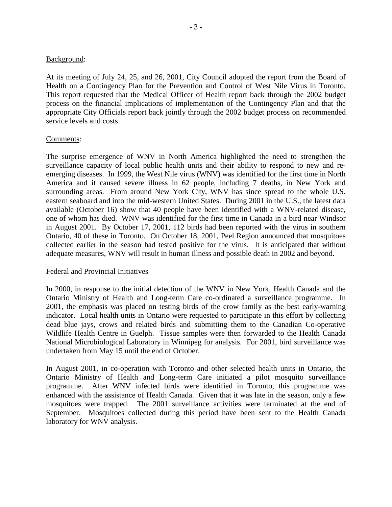## Background:

At its meeting of July 24, 25, and 26, 2001, City Council adopted the report from the Board of Health on a Contingency Plan for the Prevention and Control of West Nile Virus in Toronto. This report requested that the Medical Officer of Health report back through the 2002 budget process on the financial implications of implementation of the Contingency Plan and that the appropriate City Officials report back jointly through the 2002 budget process on recommended service levels and costs.

### Comments:

The surprise emergence of WNV in North America highlighted the need to strengthen the surveillance capacity of local public health units and their ability to respond to new and reemerging diseases. In 1999, the West Nile virus (WNV) was identified for the first time in North America and it caused severe illness in 62 people, including 7 deaths, in New York and surrounding areas. From around New York City, WNV has since spread to the whole U.S. eastern seaboard and into the mid-western United States. During 2001 in the U.S., the latest data available (October 16) show that 40 people have been identified with a WNV-related disease, one of whom has died. WNV was identified for the first time in Canada in a bird near Windsor in August 2001. By October 17, 2001, 112 birds had been reported with the virus in southern Ontario, 40 of these in Toronto. On October 18, 2001, Peel Region announced that mosquitoes collected earlier in the season had tested positive for the virus. It is anticipated that without adequate measures, WNV will result in human illness and possible death in 2002 and beyond.

#### Federal and Provincial Initiatives

In 2000, in response to the initial detection of the WNV in New York, Health Canada and the Ontario Ministry of Health and Long-term Care co-ordinated a surveillance programme. In 2001, the emphasis was placed on testing birds of the crow family as the best early-warning indicator. Local health units in Ontario were requested to participate in this effort by collecting dead blue jays, crows and related birds and submitting them to the Canadian Co-operative Wildlife Health Centre in Guelph. Tissue samples were then forwarded to the Health Canada National Microbiological Laboratory in Winnipeg for analysis. For 2001, bird surveillance was undertaken from May 15 until the end of October.

In August 2001, in co-operation with Toronto and other selected health units in Ontario, the Ontario Ministry of Health and Long-term Care initiated a pilot mosquito surveillance programme. After WNV infected birds were identified in Toronto, this programme was enhanced with the assistance of Health Canada. Given that it was late in the season, only a few mosquitoes were trapped. The 2001 surveillance activities were terminated at the end of September. Mosquitoes collected during this period have been sent to the Health Canada laboratory for WNV analysis.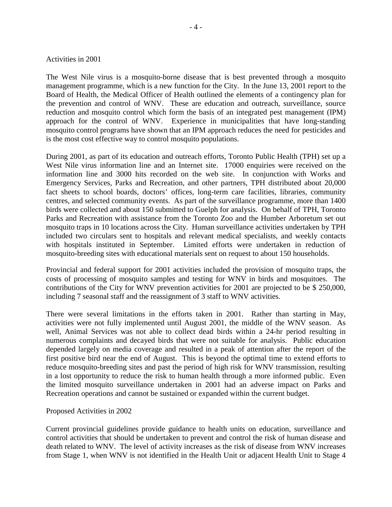#### Activities in 2001

The West Nile virus is a mosquito-borne disease that is best prevented through a mosquito management programme, which is a new function for the City. In the June 13, 2001 report to the Board of Health, the Medical Officer of Health outlined the elements of a contingency plan for the prevention and control of WNV. These are education and outreach, surveillance, source reduction and mosquito control which form the basis of an integrated pest management (IPM) approach for the control of WNV. Experience in municipalities that have long-standing mosquito control programs have shown that an IPM approach reduces the need for pesticides and is the most cost effective way to control mosquito populations.

During 2001, as part of its education and outreach efforts, Toronto Public Health (TPH) set up a West Nile virus information line and an Internet site. 17000 enquiries were received on the information line and 3000 hits recorded on the web site. In conjunction with Works and Emergency Services, Parks and Recreation, and other partners, TPH distributed about 20,000 fact sheets to school boards, doctors' offices, long-term care facilities, libraries, community centres, and selected community events. As part of the surveillance programme, more than 1400 birds were collected and about 150 submitted to Guelph for analysis. On behalf of TPH, Toronto Parks and Recreation with assistance from the Toronto Zoo and the Humber Arboretum set out mosquito traps in 10 locations across the City. Human surveillance activities undertaken by TPH included two circulars sent to hospitals and relevant medical specialists, and weekly contacts with hospitals instituted in September. Limited efforts were undertaken in reduction of mosquito-breeding sites with educational materials sent on request to about 150 households.

Provincial and federal support for 2001 activities included the provision of mosquito traps, the costs of processing of mosquito samples and testing for WNV in birds and mosquitoes. The contributions of the City for WNV prevention activities for 2001 are projected to be \$ 250,000, including 7 seasonal staff and the reassignment of 3 staff to WNV activities.

There were several limitations in the efforts taken in 2001. Rather than starting in May, activities were not fully implemented until August 2001, the middle of the WNV season. As well, Animal Services was not able to collect dead birds within a 24-hr period resulting in numerous complaints and decayed birds that were not suitable for analysis. Public education depended largely on media coverage and resulted in a peak of attention after the report of the first positive bird near the end of August. This is beyond the optimal time to extend efforts to reduce mosquito-breeding sites and past the period of high risk for WNV transmission, resulting in a lost opportunity to reduce the risk to human health through a more informed public. Even the limited mosquito surveillance undertaken in 2001 had an adverse impact on Parks and Recreation operations and cannot be sustained or expanded within the current budget.

#### Proposed Activities in 2002

Current provincial guidelines provide guidance to health units on education, surveillance and control activities that should be undertaken to prevent and control the risk of human disease and death related to WNV. The level of activity increases as the risk of disease from WNV increases from Stage 1, when WNV is not identified in the Health Unit or adjacent Health Unit to Stage 4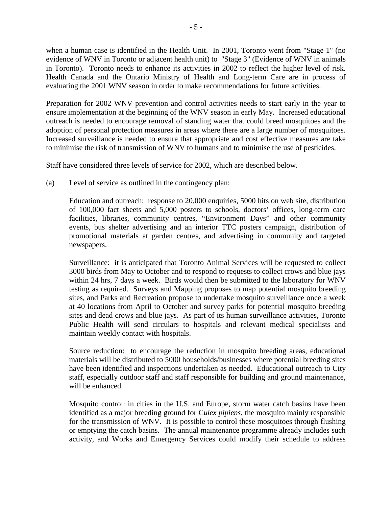when a human case is identified in the Health Unit. In 2001, Toronto went from "Stage 1" (no evidence of WNV in Toronto or adjacent health unit) to "Stage 3" (Evidence of WNV in animals in Toronto). Toronto needs to enhance its activities in 2002 to reflect the higher level of risk. Health Canada and the Ontario Ministry of Health and Long-term Care are in process of evaluating the 2001 WNV season in order to make recommendations for future activities.

Preparation for 2002 WNV prevention and control activities needs to start early in the year to ensure implementation at the beginning of the WNV season in early May. Increased educational outreach is needed to encourage removal of standing water that could breed mosquitoes and the adoption of personal protection measures in areas where there are a large number of mosquitoes. Increased surveillance is needed to ensure that appropriate and cost effective measures are take to minimise the risk of transmission of WNV to humans and to minimise the use of pesticides.

Staff have considered three levels of service for 2002, which are described below.

(a) Level of service as outlined in the contingency plan:

Education and outreach: response to 20,000 enquiries, 5000 hits on web site, distribution of 100,000 fact sheets and 5,000 posters to schools, doctors' offices, long-term care facilities, libraries, community centres, "Environment Days" and other community events, bus shelter advertising and an interior TTC posters campaign, distribution of promotional materials at garden centres, and advertising in community and targeted newspapers.

Surveillance: it is anticipated that Toronto Animal Services will be requested to collect 3000 birds from May to October and to respond to requests to collect crows and blue jays within 24 hrs, 7 days a week. Birds would then be submitted to the laboratory for WNV testing as required. Surveys and Mapping proposes to map potential mosquito breeding sites, and Parks and Recreation propose to undertake mosquito surveillance once a week at 40 locations from April to October and survey parks for potential mosquito breeding sites and dead crows and blue jays. As part of its human surveillance activities, Toronto Public Health will send circulars to hospitals and relevant medical specialists and maintain weekly contact with hospitals.

Source reduction: to encourage the reduction in mosquito breeding areas, educational materials will be distributed to 5000 households/businesses where potential breeding sites have been identified and inspections undertaken as needed. Educational outreach to City staff, especially outdoor staff and staff responsible for building and ground maintenance, will be enhanced.

Mosquito control: in cities in the U.S. and Europe, storm water catch basins have been identified as a major breeding ground for C*ulex pipiens*, the mosquito mainly responsible for the transmission of WNV. It is possible to control these mosquitoes through flushing or emptying the catch basins. The annual maintenance programme already includes such activity, and Works and Emergency Services could modify their schedule to address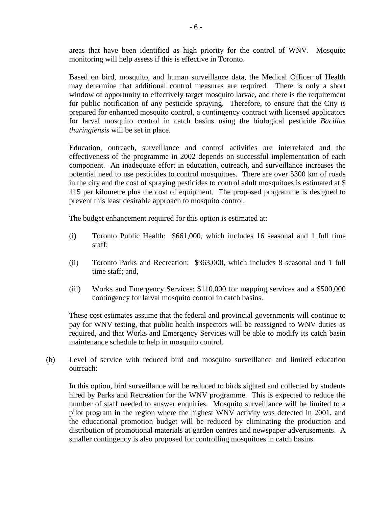areas that have been identified as high priority for the control of WNV. Mosquito monitoring will help assess if this is effective in Toronto.

Based on bird, mosquito, and human surveillance data, the Medical Officer of Health may determine that additional control measures are required. There is only a short window of opportunity to effectively target mosquito larvae, and there is the requirement for public notification of any pesticide spraying. Therefore, to ensure that the City is prepared for enhanced mosquito control, a contingency contract with licensed applicators for larval mosquito control in catch basins using the biological pesticide *Bacillus thuringiensis* will be set in place.

Education, outreach, surveillance and control activities are interrelated and the effectiveness of the programme in 2002 depends on successful implementation of each component. An inadequate effort in education, outreach, and surveillance increases the potential need to use pesticides to control mosquitoes. There are over 5300 km of roads in the city and the cost of spraying pesticides to control adult mosquitoes is estimated at \$ 115 per kilometre plus the cost of equipment. The proposed programme is designed to prevent this least desirable approach to mosquito control.

The budget enhancement required for this option is estimated at:

- (i) Toronto Public Health: \$661,000, which includes 16 seasonal and 1 full time staff;
- (ii) Toronto Parks and Recreation: \$363,000, which includes 8 seasonal and 1 full time staff; and,
- (iii) Works and Emergency Services: \$110,000 for mapping services and a \$500,000 contingency for larval mosquito control in catch basins.

These cost estimates assume that the federal and provincial governments will continue to pay for WNV testing, that public health inspectors will be reassigned to WNV duties as required, and that Works and Emergency Services will be able to modify its catch basin maintenance schedule to help in mosquito control.

(b) Level of service with reduced bird and mosquito surveillance and limited education outreach:

In this option, bird surveillance will be reduced to birds sighted and collected by students hired by Parks and Recreation for the WNV programme. This is expected to reduce the number of staff needed to answer enquiries. Mosquito surveillance will be limited to a pilot program in the region where the highest WNV activity was detected in 2001, and the educational promotion budget will be reduced by eliminating the production and distribution of promotional materials at garden centres and newspaper advertisements. A smaller contingency is also proposed for controlling mosquitoes in catch basins.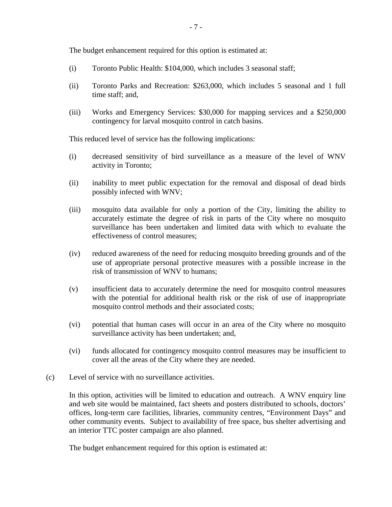The budget enhancement required for this option is estimated at:

- (i) Toronto Public Health: \$104,000, which includes 3 seasonal staff;
- (ii) Toronto Parks and Recreation: \$263,000, which includes 5 seasonal and 1 full time staff; and,
- (iii) Works and Emergency Services: \$30,000 for mapping services and a \$250,000 contingency for larval mosquito control in catch basins.

This reduced level of service has the following implications:

- (i) decreased sensitivity of bird surveillance as a measure of the level of WNV activity in Toronto;
- (ii) inability to meet public expectation for the removal and disposal of dead birds possibly infected with WNV;
- (iii) mosquito data available for only a portion of the City, limiting the ability to accurately estimate the degree of risk in parts of the City where no mosquito surveillance has been undertaken and limited data with which to evaluate the effectiveness of control measures;
- (iv) reduced awareness of the need for reducing mosquito breeding grounds and of the use of appropriate personal protective measures with a possible increase in the risk of transmission of WNV to humans;
- (v) insufficient data to accurately determine the need for mosquito control measures with the potential for additional health risk or the risk of use of inappropriate mosquito control methods and their associated costs;
- (vi) potential that human cases will occur in an area of the City where no mosquito surveillance activity has been undertaken; and,
- (vi) funds allocated for contingency mosquito control measures may be insufficient to cover all the areas of the City where they are needed.
- (c) Level of service with no surveillance activities.

In this option, activities will be limited to education and outreach. A WNV enquiry line and web site would be maintained, fact sheets and posters distributed to schools, doctors' offices, long-term care facilities, libraries, community centres, "Environment Days" and other community events. Subject to availability of free space, bus shelter advertising and an interior TTC poster campaign are also planned.

The budget enhancement required for this option is estimated at: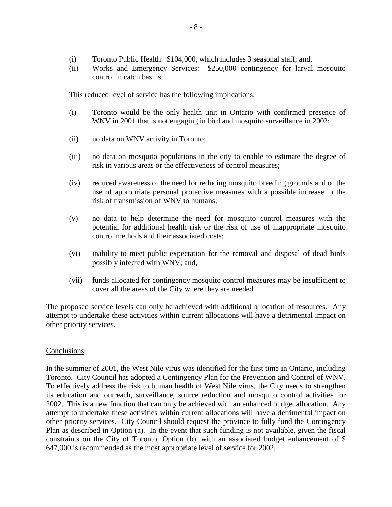- (i) Toronto Public Health: \$104,000, which includes 3 seasonal staff; and,
- (ii) Works and Emergency Services: \$250,000 contingency for larval mosquito control in catch basins.

This reduced level of service has the following implications:

- (i) Toronto would be the only health unit in Ontario with confirmed presence of WNV in 2001 that is not engaging in bird and mosquito surveillance in 2002;
- (ii) no data on WNV activity in Toronto;
- (iii) no data on mosquito populations in the city to enable to estimate the degree of risk in various areas or the effectiveness of control measures;
- (iv) reduced awareness of the need for reducing mosquito breeding grounds and of the use of appropriate personal protective measures with a possible increase in the risk of transmission of WNV to humans;
- (v) no data to help determine the need for mosquito control measures with the potential for additional health risk or the risk of use of inappropriate mosquito control methods and their associated costs;
- (vi) inability to meet public expectation for the removal and disposal of dead birds possibly infected with WNV; and,
- (vii) funds allocated for contingency mosquito control measures may be insufficient to cover all the areas of the City where they are needed.

The proposed service levels can only be achieved with additional allocation of resources. Any attempt to undertake these activities within current allocations will have a detrimental impact on other priority services.

## Conclusions:

In the summer of 2001, the West Nile virus was identified for the first time in Ontario, including Toronto. City Council has adopted a Contingency Plan for the Prevention and Control of WNV. To effectively address the risk to human health of West Nile virus, the City needs to strengthen its education and outreach, surveillance, source reduction and mosquito control activities for 2002. This is a new function that can only be achieved with an enhanced budget allocation. Any attempt to undertake these activities within current allocations will have a detrimental impact on other priority services. City Council should request the province to fully fund the Contingency Plan as described in Option (a). In the event that such funding is not available, given the fiscal constraints on the City of Toronto, Option (b), with an associated budget enhancement of \$ 647,000 is recommended as the most appropriate level of service for 2002.